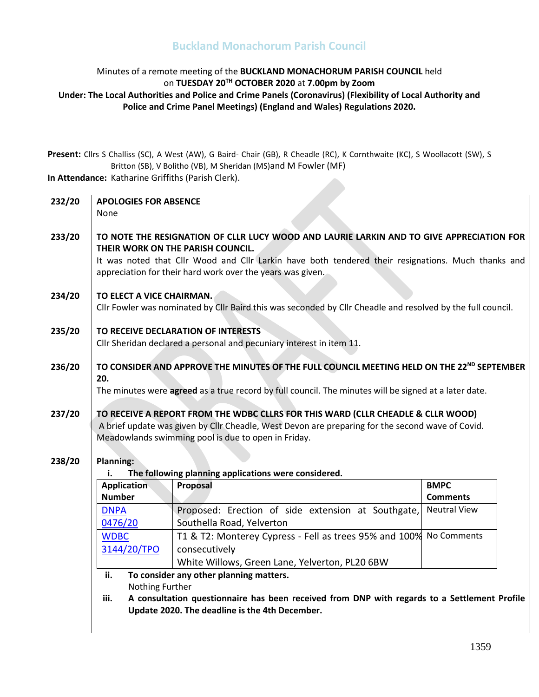#### Minutes of a remote meeting of the **BUCKLAND MONACHORUM PARISH COUNCIL** held on **TUESDAY 20 TH OCTOBER 2020** at **7.00pm by Zoom Under: The Local Authorities and Police and Crime Panels (Coronavirus) (Flexibility of Local Authority and Police and Crime Panel Meetings) (England and Wales) Regulations 2020.**

**Present:** Cllrs S Challiss (SC), A West (AW), G Baird- Chair (GB), R Cheadle (RC), K Cornthwaite (KC), S Woollacott (SW), S Britton (SB), V Bolitho (VB), M Sheridan (MS)and M Fowler (MF)

**In Attendance:** Katharine Griffiths (Parish Clerk).

| 232/20                                                     | <b>APOLOGIES FOR ABSENCE</b><br>None                                                                                                                                                                                                                                                              |                                                                                                             |                     |  |
|------------------------------------------------------------|---------------------------------------------------------------------------------------------------------------------------------------------------------------------------------------------------------------------------------------------------------------------------------------------------|-------------------------------------------------------------------------------------------------------------|---------------------|--|
| 233/20                                                     | TO NOTE THE RESIGNATION OF CLLR LUCY WOOD AND LAURIE LARKIN AND TO GIVE APPRECIATION FOR<br>THEIR WORK ON THE PARISH COUNCIL.<br>It was noted that Cllr Wood and Cllr Larkin have both tendered their resignations. Much thanks and<br>appreciation for their hard work over the years was given. |                                                                                                             |                     |  |
| 234/20                                                     | TO ELECT A VICE CHAIRMAN.                                                                                                                                                                                                                                                                         |                                                                                                             |                     |  |
|                                                            |                                                                                                                                                                                                                                                                                                   | Cllr Fowler was nominated by Cllr Baird this was seconded by Cllr Cheadle and resolved by the full council. |                     |  |
| 235/20                                                     | TO RECEIVE DECLARATION OF INTERESTS<br>Cllr Sheridan declared a personal and pecuniary interest in item 11.                                                                                                                                                                                       |                                                                                                             |                     |  |
| 236/20                                                     | TO CONSIDER AND APPROVE THE MINUTES OF THE FULL COUNCIL MEETING HELD ON THE 22 <sup>ND</sup> SEPTEMBER<br>20.<br>The minutes were agreed as a true record by full council. The minutes will be signed at a later date.                                                                            |                                                                                                             |                     |  |
| 237/20                                                     | TO RECEIVE A REPORT FROM THE WDBC CLLRS FOR THIS WARD (CLLR CHEADLE & CLLR WOOD)<br>A brief update was given by Cllr Cheadle, West Devon are preparing for the second wave of Covid.<br>Meadowlands swimming pool is due to open in Friday.                                                       |                                                                                                             |                     |  |
| 238/20                                                     | Planning:                                                                                                                                                                                                                                                                                         |                                                                                                             |                     |  |
| The following planning applications were considered.<br>i. |                                                                                                                                                                                                                                                                                                   |                                                                                                             |                     |  |
|                                                            | <b>Application</b>                                                                                                                                                                                                                                                                                | Proposal                                                                                                    | <b>BMPC</b>         |  |
|                                                            | <b>Number</b>                                                                                                                                                                                                                                                                                     |                                                                                                             | <b>Comments</b>     |  |
|                                                            | <b>DNPA</b>                                                                                                                                                                                                                                                                                       | Proposed: Erection of side extension at Southgate,                                                          | <b>Neutral View</b> |  |
|                                                            | 0476/20                                                                                                                                                                                                                                                                                           | Southella Road, Yelverton                                                                                   |                     |  |
|                                                            | <b>WDBC</b>                                                                                                                                                                                                                                                                                       | T1 & T2: Monterey Cypress - Fell as trees 95% and 100% No Comments                                          |                     |  |
|                                                            | 3144/20/TPO                                                                                                                                                                                                                                                                                       | consecutively                                                                                               |                     |  |
|                                                            |                                                                                                                                                                                                                                                                                                   | White Willows, Green Lane, Yelverton, PL20 6BW                                                              |                     |  |
|                                                            | ii.                                                                                                                                                                                                                                                                                               | To consider any other planning matters.                                                                     |                     |  |
|                                                            | Nothing Further                                                                                                                                                                                                                                                                                   |                                                                                                             |                     |  |
|                                                            | A consultation questionnaire has been received from DNP with regards to a Settlement Profile<br>iii.<br>Update 2020. The deadline is the 4th December.                                                                                                                                            |                                                                                                             |                     |  |
|                                                            |                                                                                                                                                                                                                                                                                                   |                                                                                                             |                     |  |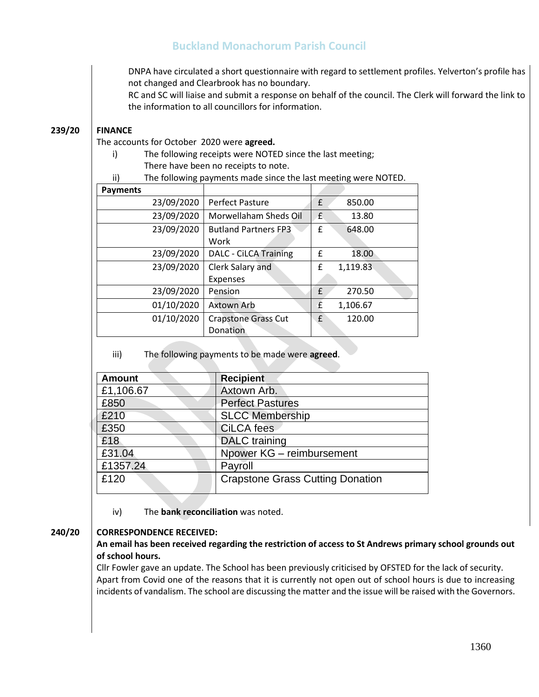DNPA have circulated a short questionnaire with regard to settlement profiles. Yelverton's profile has not changed and Clearbrook has no boundary.

RC and SC will liaise and submit a response on behalf of the council. The Clerk will forward the link to the information to all councillors for information.

#### **239/20 FINANCE**

The accounts for October 2020 were **agreed.**

- i) The following receipts were NOTED since the last meeting; There have been no receipts to note.
- ii) The following payments made since the last meeting were NOTED.

| <b>Payments</b> |                              |               |
|-----------------|------------------------------|---------------|
| 23/09/2020      | <b>Perfect Pasture</b>       | £<br>850.00   |
| 23/09/2020      | Morwellaham Sheds Oil        | £<br>13.80    |
| 23/09/2020      | <b>Butland Partners FP3</b>  | £<br>648.00   |
|                 | Work                         |               |
| 23/09/2020      | <b>DALC - CiLCA Training</b> | f<br>18.00    |
| 23/09/2020      | Clerk Salary and             | 1,119.83<br>£ |
|                 | <b>Expenses</b>              |               |
| 23/09/2020      | Pension                      | £<br>270.50   |
| 01/10/2020      | Axtown Arb                   | £<br>1,106.67 |
| 01/10/2020      | <b>Crapstone Grass Cut</b>   | £<br>120.00   |
|                 | Donation                     |               |

iii) The following payments to be made were **agreed**.

| <b>Amount</b> | <b>Recipient</b>                        |
|---------------|-----------------------------------------|
| £1,106.67     | Axtown Arb.                             |
| £850          | <b>Perfect Pastures</b>                 |
| £210          | <b>SLCC Membership</b>                  |
| £350          | <b>CiLCA</b> fees                       |
| £18           | <b>DALC</b> training                    |
| £31.04        | Npower KG - reimbursement               |
| £1357.24      | Payroll                                 |
| £120          | <b>Crapstone Grass Cutting Donation</b> |

iv) The **bank reconciliation** was noted.

### **240/20 CORRESPONDENCE RECEIVED:**

#### 1) **An email has been received regarding the restriction of access to St Andrews primary school grounds out of school hours.**

Cllr Fowler gave an update. The School has been previously criticised by OFSTED for the lack of security. Apart from Covid one of the reasons that it is currently not open out of school hours is due to increasing incidents of vandalism. The school are discussing the matter and the issue will be raised with the Governors.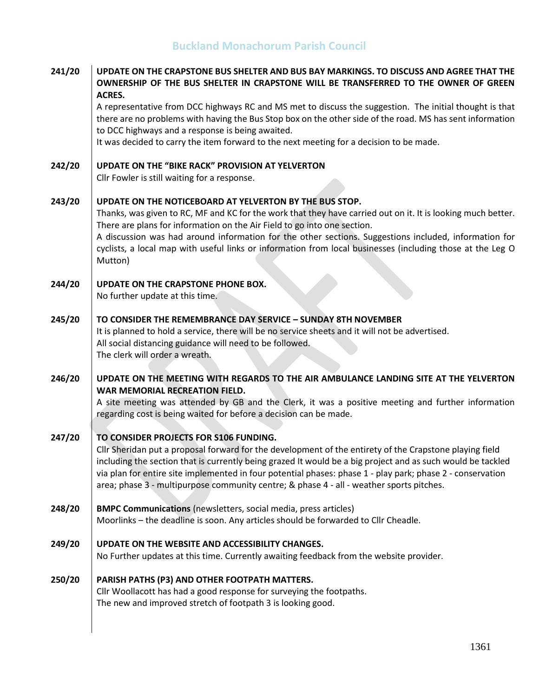| 241/20 | UPDATE ON THE CRAPSTONE BUS SHELTER AND BUS BAY MARKINGS. TO DISCUSS AND AGREE THAT THE<br>OWNERSHIP OF THE BUS SHELTER IN CRAPSTONE WILL BE TRANSFERRED TO THE OWNER OF GREEN<br>ACRES.                                                                                                                                                                                                                                                                                              |
|--------|---------------------------------------------------------------------------------------------------------------------------------------------------------------------------------------------------------------------------------------------------------------------------------------------------------------------------------------------------------------------------------------------------------------------------------------------------------------------------------------|
|        | A representative from DCC highways RC and MS met to discuss the suggestion. The initial thought is that<br>there are no problems with having the Bus Stop box on the other side of the road. MS has sent information<br>to DCC highways and a response is being awaited.                                                                                                                                                                                                              |
|        | It was decided to carry the item forward to the next meeting for a decision to be made.                                                                                                                                                                                                                                                                                                                                                                                               |
| 242/20 | <b>UPDATE ON THE "BIKE RACK" PROVISION AT YELVERTON</b>                                                                                                                                                                                                                                                                                                                                                                                                                               |
|        | Cllr Fowler is still waiting for a response.                                                                                                                                                                                                                                                                                                                                                                                                                                          |
| 243/20 | UPDATE ON THE NOTICEBOARD AT YELVERTON BY THE BUS STOP.<br>Thanks, was given to RC, MF and KC for the work that they have carried out on it. It is looking much better.<br>There are plans for information on the Air Field to go into one section.<br>A discussion was had around information for the other sections. Suggestions included, information for<br>cyclists, a local map with useful links or information from local businesses (including those at the Leg O<br>Mutton) |
| 244/20 | UPDATE ON THE CRAPSTONE PHONE BOX.<br>No further update at this time.                                                                                                                                                                                                                                                                                                                                                                                                                 |
| 245/20 | TO CONSIDER THE REMEMBRANCE DAY SERVICE - SUNDAY 8TH NOVEMBER<br>It is planned to hold a service, there will be no service sheets and it will not be advertised.<br>All social distancing guidance will need to be followed.<br>The clerk will order a wreath.                                                                                                                                                                                                                        |
| 246/20 | UPDATE ON THE MEETING WITH REGARDS TO THE AIR AMBULANCE LANDING SITE AT THE YELVERTON<br>WAR MEMORIAL RECREATION FIELD.<br>A site meeting was attended by GB and the Clerk, it was a positive meeting and further information<br>regarding cost is being waited for before a decision can be made.                                                                                                                                                                                    |
| 247/20 | TO CONSIDER PROJECTS FOR S106 FUNDING.<br>Cllr Sheridan put a proposal forward for the development of the entirety of the Crapstone playing field<br>including the section that is currently being grazed It would be a big project and as such would be tackled<br>via plan for entire site implemented in four potential phases: phase 1 - play park; phase 2 - conservation<br>area; phase 3 - multipurpose community centre; & phase 4 - all - weather sports pitches.            |
| 248/20 | <b>BMPC Communications</b> (newsletters, social media, press articles)<br>Moorlinks - the deadline is soon. Any articles should be forwarded to Cllr Cheadle.                                                                                                                                                                                                                                                                                                                         |
| 249/20 | UPDATE ON THE WEBSITE AND ACCESSIBILITY CHANGES.<br>No Further updates at this time. Currently awaiting feedback from the website provider.                                                                                                                                                                                                                                                                                                                                           |
| 250/20 | PARISH PATHS (P3) AND OTHER FOOTPATH MATTERS.<br>Cllr Woollacott has had a good response for surveying the footpaths.<br>The new and improved stretch of footpath 3 is looking good.                                                                                                                                                                                                                                                                                                  |
|        |                                                                                                                                                                                                                                                                                                                                                                                                                                                                                       |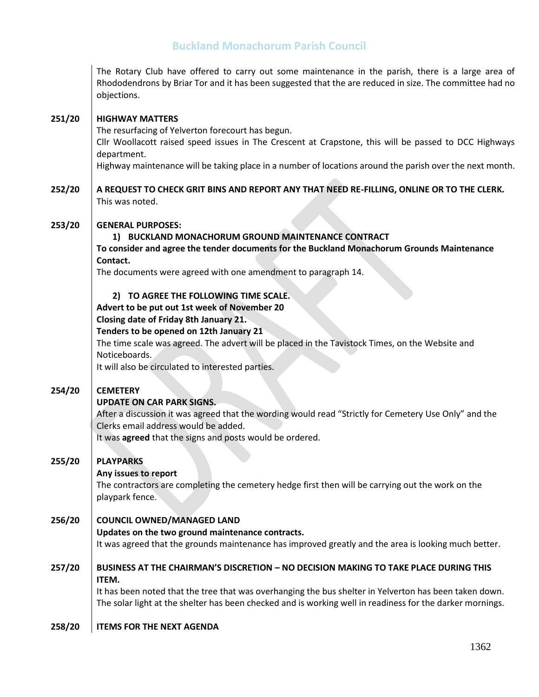|        | The Rotary Club have offered to carry out some maintenance in the parish, there is a large area of<br>Rhododendrons by Briar Tor and it has been suggested that the are reduced in size. The committee had no<br>objections. |
|--------|------------------------------------------------------------------------------------------------------------------------------------------------------------------------------------------------------------------------------|
| 251/20 | <b>HIGHWAY MATTERS</b>                                                                                                                                                                                                       |
|        | The resurfacing of Yelverton forecourt has begun.                                                                                                                                                                            |
|        | Cllr Woollacott raised speed issues in The Crescent at Crapstone, this will be passed to DCC Highways<br>department.                                                                                                         |
|        | Highway maintenance will be taking place in a number of locations around the parish over the next month.                                                                                                                     |
| 252/20 | A REQUEST TO CHECK GRIT BINS AND REPORT ANY THAT NEED RE-FILLING, ONLINE OR TO THE CLERK.<br>This was noted.                                                                                                                 |
| 253/20 | <b>GENERAL PURPOSES:</b>                                                                                                                                                                                                     |
|        | 1) BUCKLAND MONACHORUM GROUND MAINTENANCE CONTRACT<br>To consider and agree the tender documents for the Buckland Monachorum Grounds Maintenance<br>Contact.                                                                 |
|        | The documents were agreed with one amendment to paragraph 14.                                                                                                                                                                |
|        | 2) TO AGREE THE FOLLOWING TIME SCALE.                                                                                                                                                                                        |
|        | Advert to be put out 1st week of November 20                                                                                                                                                                                 |
|        | Closing date of Friday 8th January 21.                                                                                                                                                                                       |
|        | Tenders to be opened on 12th January 21                                                                                                                                                                                      |
|        | The time scale was agreed. The advert will be placed in the Tavistock Times, on the Website and<br>Noticeboards.                                                                                                             |
|        | It will also be circulated to interested parties.                                                                                                                                                                            |
| 254/20 | <b>CEMETERY</b>                                                                                                                                                                                                              |
|        | <b>UPDATE ON CAR PARK SIGNS.</b>                                                                                                                                                                                             |
|        | After a discussion it was agreed that the wording would read "Strictly for Cemetery Use Only" and the                                                                                                                        |
|        | Clerks email address would be added.                                                                                                                                                                                         |
|        | It was agreed that the signs and posts would be ordered.                                                                                                                                                                     |
| 255/20 | <b>PLAYPARKS</b>                                                                                                                                                                                                             |
|        | Any issues to report                                                                                                                                                                                                         |
|        | The contractors are completing the cemetery hedge first then will be carrying out the work on the<br>playpark fence.                                                                                                         |
| 256/20 | <b>COUNCIL OWNED/MANAGED LAND</b>                                                                                                                                                                                            |
|        | Updates on the two ground maintenance contracts.                                                                                                                                                                             |
|        | It was agreed that the grounds maintenance has improved greatly and the area is looking much better.                                                                                                                         |
| 257/20 | <b>BUSINESS AT THE CHAIRMAN'S DISCRETION - NO DECISION MAKING TO TAKE PLACE DURING THIS</b><br>ITEM.                                                                                                                         |
|        | It has been noted that the tree that was overhanging the bus shelter in Yelverton has been taken down.<br>The solar light at the shelter has been checked and is working well in readiness for the darker mornings.          |
| 258/20 | <b>ITEMS FOR THE NEXT AGENDA</b>                                                                                                                                                                                             |
|        |                                                                                                                                                                                                                              |